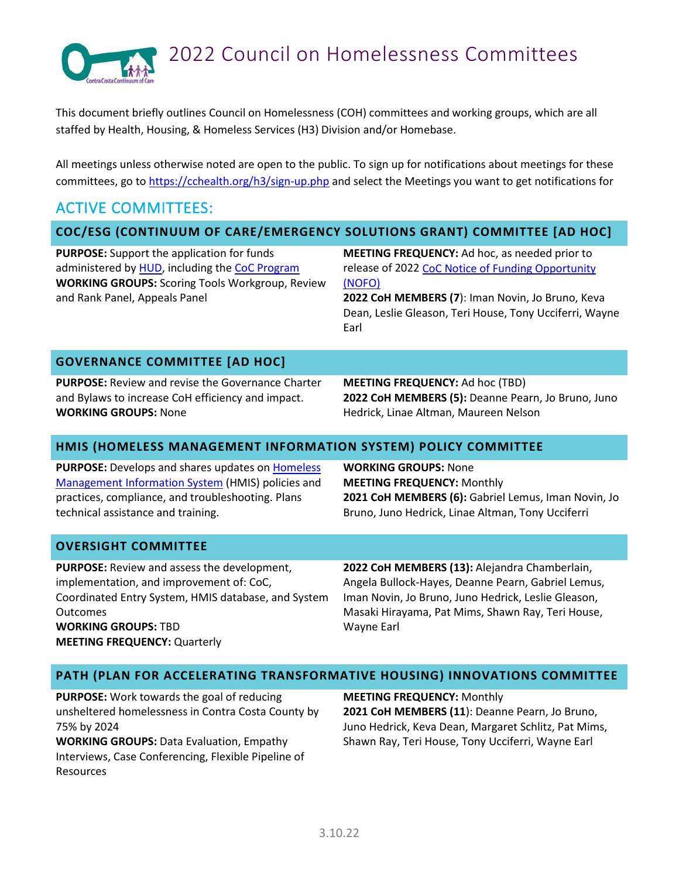

# 2022 Council on Homelessness Committees

This document briefly outlines Council on Homelessness (COH) committees and working groups, which are all staffed by Health, Housing, & Homeless Services (H3) Division and/or Homebase.

All meetings unless otherwise noted are open to the public. To sign up for notifications about meetings for these committees, go to<https://cchealth.org/h3/sign-up.php> and select the Meetings you want to get notifications for

## ACTIVE COMMITTEES:

### **COC/ESG (CONTINUUM OF CARE/EMERGENCY SOLUTIONS GRANT) COMMITTEE [AD HOC]**

**PURPOSE:** Support the application for funds administered by [HUD,](https://www.hud.gov/) including th[e CoC Program](https://www.hudexchange.info/programs/coc/)  **WORKING GROUPS:** Scoring Tools Workgroup, Review and Rank Panel, Appeals Panel

**MEETING FREQUENCY:** Ad hoc, as needed prior to release of 2022 [CoC Notice of Funding Opportunity](https://www.hudexchange.info/programs/e-snaps/fy-2021-coc-program-nofa-coc-program-competition/)  [\(NOFO\)](https://www.hudexchange.info/programs/e-snaps/fy-2021-coc-program-nofa-coc-program-competition/)

**2022 CoH MEMBERS (7**): Iman Novin, Jo Bruno, Keva Dean, Leslie Gleason, Teri House, Tony Ucciferri, Wayne Earl

### **GOVERNANCE COMMITTEE [AD HOC]**

**PURPOSE:** Review and revise the Governance Charter and Bylaws to increase CoH efficiency and impact. **WORKING GROUPS:** None

**MEETING FREQUENCY:** Ad hoc (TBD) **2022 CoH MEMBERS (5):** Deanne Pearn, Jo Bruno, Juno Hedrick, Linae Altman, Maureen Nelson

### **HMIS (HOMELESS MANAGEMENT INFORMATION SYSTEM) POLICY COMMITTEE**

**PURPOSE:** Develops and shares updates on [Homeless](https://www.hudexchange.info/programs/hmis/)  [Management Information System](https://www.hudexchange.info/programs/hmis/) (HMIS) policies and practices, compliance, and troubleshooting. Plans technical assistance and training.

**WORKING GROUPS:** None **MEETING FREQUENCY:** Monthly **2021 CoH MEMBERS (6):** Gabriel Lemus, Iman Novin, Jo Bruno, Juno Hedrick, Linae Altman, Tony Ucciferri

### **OVERSIGHT COMMITTEE**

**PURPOSE:** Review and assess the development, implementation, and improvement of: CoC, Coordinated Entry System, HMIS database, and System Outcomes **WORKING GROUPS:** TBD **MEETING FREQUENCY:** Quarterly

**2022 CoH MEMBERS (13):** Alejandra Chamberlain, Angela Bullock-Hayes, Deanne Pearn, Gabriel Lemus, Iman Novin, Jo Bruno, Juno Hedrick, Leslie Gleason, Masaki Hirayama, Pat Mims, Shawn Ray, Teri House, Wayne Earl

### **PATH (PLAN FOR ACCELERATING TRANSFORMATIVE HOUSING) INNOVATIONS COMMITTEE**

**PURPOSE:** Work towards the goal of reducing unsheltered homelessness in Contra Costa County by 75% by 2024

**WORKING GROUPS:** Data Evaluation, Empathy Interviews, Case Conferencing, Flexible Pipeline of Resources

**MEETING FREQUENCY:** Monthly **2021 CoH MEMBERS (11**): Deanne Pearn, Jo Bruno, Juno Hedrick, Keva Dean, Margaret Schlitz, Pat Mims, Shawn Ray, Teri House, Tony Ucciferri, Wayne Earl